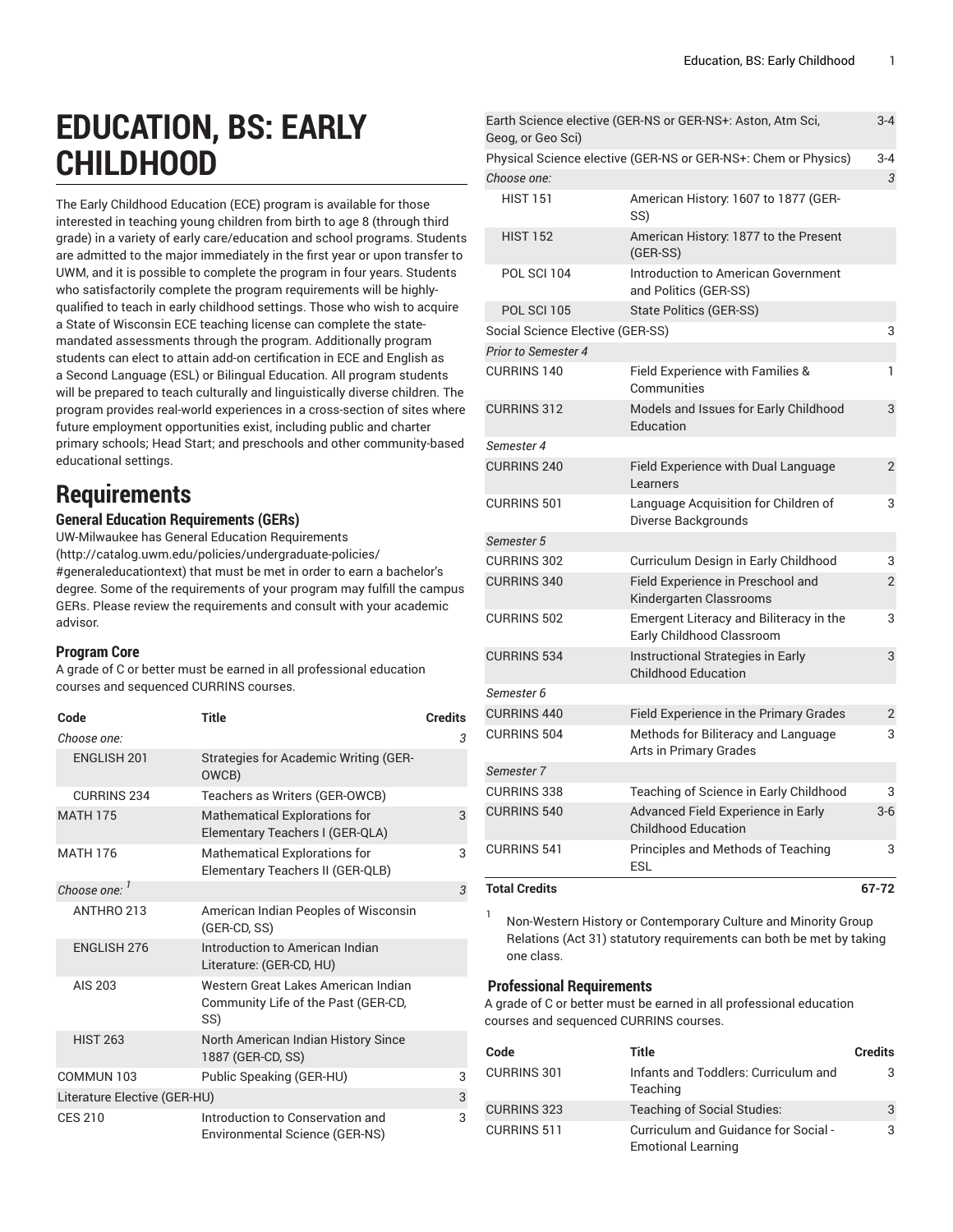# **EDUCATION, BS: EARLY CHILDHOOD**

The Early Childhood Education (ECE) program is available for those interested in teaching young children from birth to age 8 (through third grade) in a variety of early care/education and school programs. Students are admitted to the major immediately in the first year or upon transfer to UWM, and it is possible to complete the program in four years. Students who satisfactorily complete the program requirements will be highlyqualified to teach in early childhood settings. Those who wish to acquire a State of Wisconsin ECE teaching license can complete the statemandated assessments through the program. Additionally program students can elect to attain add-on certification in ECE and English as a Second Language (ESL) or Bilingual Education. All program students will be prepared to teach culturally and linguistically diverse children. The program provides real-world experiences in a cross-section of sites where future employment opportunities exist, including public and charter primary schools; Head Start; and preschools and other community-based educational settings.

# **Requirements**

### **General Education Requirements (GERs)**

UW-Milwaukee has General Education [Requirements](http://catalog.uwm.edu/policies/undergraduate-policies/#generaleducationtext) ([http://catalog.uwm.edu/policies/undergraduate-policies/](http://catalog.uwm.edu/policies/undergraduate-policies/#generaleducationtext) [#generaleducationtext](http://catalog.uwm.edu/policies/undergraduate-policies/#generaleducationtext)) that must be met in order to earn a bachelor's degree. Some of the requirements of your program may fulfill the campus GERs. Please review the requirements and consult with your academic advisor.

#### **Program Core**

A grade of C or better must be earned in all professional education courses and sequenced CURRINS courses.

| Code                         | <b>Title</b>                                                                      | <b>Credits</b> |
|------------------------------|-----------------------------------------------------------------------------------|----------------|
| Choose one:                  |                                                                                   | 3              |
| <b>ENGLISH 201</b>           | Strategies for Academic Writing (GER-<br>OWCB)                                    |                |
| <b>CURRINS 234</b>           | Teachers as Writers (GER-OWCB)                                                    |                |
| <b>MATH 175</b>              | <b>Mathematical Explorations for</b><br>Elementary Teachers I (GER-QLA)           | 3              |
| <b>MATH 176</b>              | <b>Mathematical Explorations for</b><br>Elementary Teachers II (GER-QLB)          | 3              |
| Choose one: '                |                                                                                   | 3              |
| ANTHRO 213                   | American Indian Peoples of Wisconsin<br>(GER-CD, SS)                              |                |
| <b>ENGLISH 276</b>           | Introduction to American Indian<br>Literature: (GER-CD, HU)                       |                |
| AIS 203                      | Western Great Lakes American Indian<br>Community Life of the Past (GER-CD,<br>SS) |                |
| <b>HIST 263</b>              | North American Indian History Since<br>1887 (GER-CD, SS)                          |                |
| COMMUN 103                   | Public Speaking (GER-HU)                                                          | 3              |
| Literature Elective (GER-HU) |                                                                                   | 3              |
| <b>CES 210</b>               | Introduction to Conservation and<br>Environmental Science (GER-NS)                | 3              |

| <b>Total Credits</b>             |                                                                      | 67-72          |
|----------------------------------|----------------------------------------------------------------------|----------------|
| <b>CURRINS 541</b>               | Principles and Methods of Teaching<br><b>ESL</b>                     | 3              |
| <b>CURRINS 540</b>               | Advanced Field Experience in Early<br><b>Childhood Education</b>     | $3-6$          |
| <b>CURRINS 338</b>               | Teaching of Science in Early Childhood                               | 3              |
| Semester 7                       |                                                                      |                |
| <b>CURRINS 504</b>               | Methods for Biliteracy and Language<br>Arts in Primary Grades        | 3              |
| <b>CURRINS 440</b>               | Field Experience in the Primary Grades                               | $\overline{2}$ |
| Semester 6                       |                                                                      |                |
|                                  | <b>Childhood Education</b>                                           |                |
| <b>CURRINS 534</b>               | Instructional Strategies in Early                                    | 3              |
| <b>CURRINS 502</b>               | Emergent Literacy and Biliteracy in the<br>Early Childhood Classroom | 3              |
| <b>CURRINS 340</b>               | Field Experience in Preschool and<br>Kindergarten Classrooms         | $\overline{2}$ |
| <b>CURRINS 302</b>               | Curriculum Design in Early Childhood                                 | 3              |
| Semester 5                       |                                                                      |                |
| <b>CURRINS 501</b>               | Language Acquisition for Children of<br>Diverse Backgrounds          | 3              |
| <b>CURRINS 240</b>               | Field Experience with Dual Language<br>Learners                      | $\overline{2}$ |
| Semester 4                       |                                                                      |                |
| <b>CURRINS 312</b>               | Models and Issues for Early Childhood<br>Education                   | 3              |
| <b>CURRINS 140</b>               | Field Experience with Families &<br>Communities                      | 1              |
| <b>Prior to Semester 4</b>       |                                                                      |                |
| Social Science Elective (GER-SS) |                                                                      | 3              |
| <b>POL SCI 105</b>               | <b>State Politics (GER-SS)</b>                                       |                |
| POL SCI 104                      | <b>Introduction to American Government</b><br>and Politics (GER-SS)  |                |
| <b>HIST 152</b>                  | American History: 1877 to the Present<br>(GER-SS)                    |                |
| <b>HIST 151</b>                  | American History: 1607 to 1877 (GER-<br>SS)                          |                |
| Choose one:                      |                                                                      | 3              |
|                                  | Physical Science elective (GER-NS or GER-NS+: Chem or Physics)       | $3 - 4$        |
| Geog, or Geo Sci)                | Earth Science elective (GER-NS or GER-NS+: Aston, Atm Sci,           | $3 - 4$        |

1 Non-Western History or Contemporary Culture and Minority Group Relations (Act 31) statutory requirements can both be met by taking one class.

#### **Professional Requirements**

A grade of C or better must be earned in all professional education courses and sequenced CURRINS courses.

| Code               | Title                                                             | <b>Credits</b> |
|--------------------|-------------------------------------------------------------------|----------------|
| CURRINS 301        | Infants and Toddlers: Curriculum and<br>Teaching                  | з              |
| <b>CURRINS 323</b> | Teaching of Social Studies:                                       | 3              |
| CURRINS 511        | Curriculum and Guidance for Social -<br><b>Emotional Learning</b> | 3              |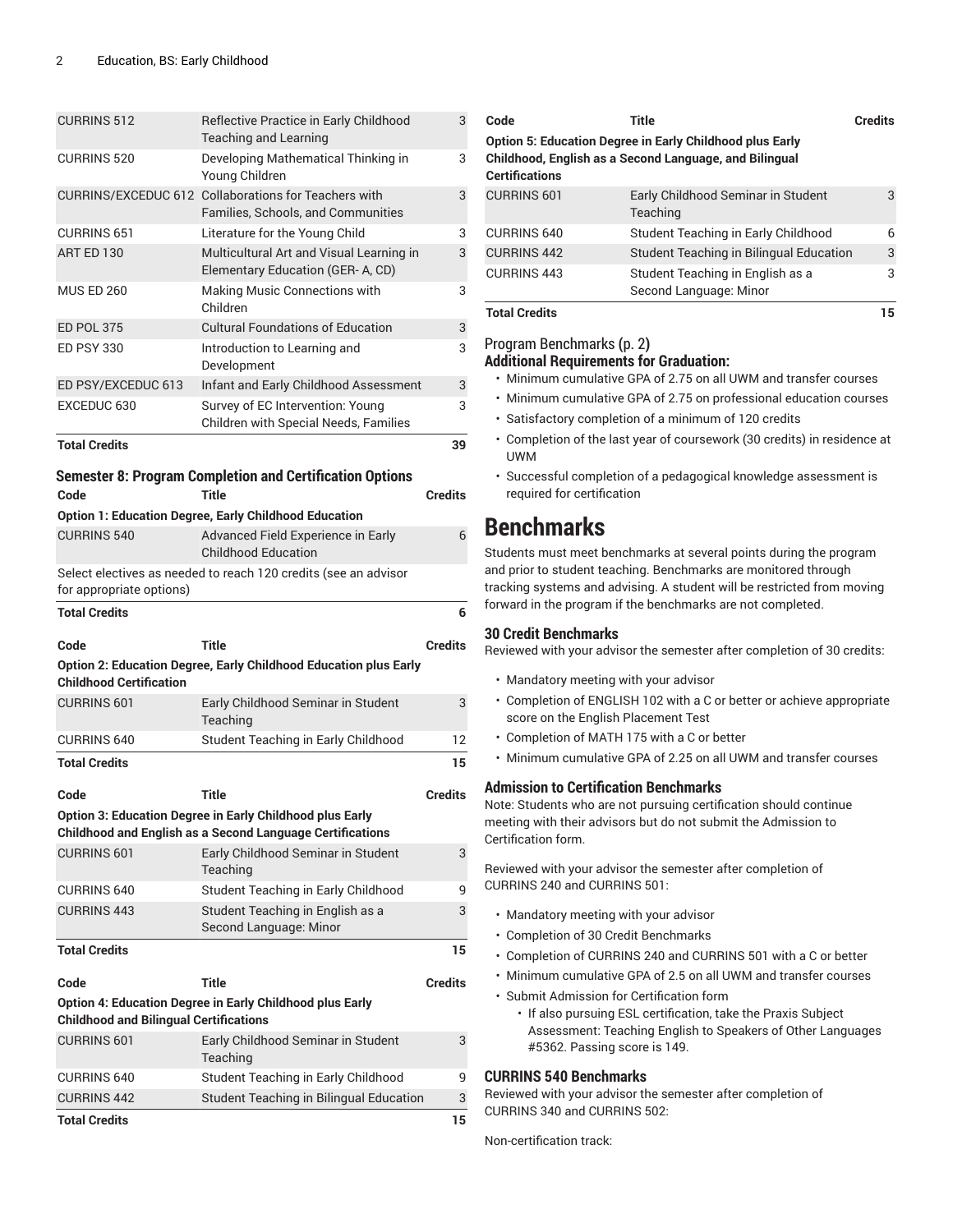| <b>CURRINS 512</b>                            | Reflective Practice in Early Childhood<br><b>Teaching and Learning</b>                                                       | 3              |
|-----------------------------------------------|------------------------------------------------------------------------------------------------------------------------------|----------------|
| <b>CURRINS 520</b>                            | Developing Mathematical Thinking in<br>Young Children                                                                        | 3              |
|                                               | CURRINS/EXCEDUC 612 Collaborations for Teachers with<br><b>Families, Schools, and Communities</b>                            | 3              |
| <b>CURRINS 651</b>                            | Literature for the Young Child                                                                                               | 3              |
| ART ED 130                                    | Multicultural Art and Visual Learning in<br>Elementary Education (GER-A, CD)                                                 | 3              |
| <b>MUS ED 260</b>                             | Making Music Connections with<br>Children                                                                                    | 3              |
| <b>ED POL 375</b>                             | <b>Cultural Foundations of Education</b>                                                                                     | 3              |
| <b>ED PSY 330</b>                             | Introduction to Learning and<br>Development                                                                                  | 3              |
| ED PSY/EXCEDUC 613                            | Infant and Early Childhood Assessment                                                                                        | 3              |
| EXCEDUC 630                                   | Survey of EC Intervention: Young                                                                                             | 3              |
|                                               | Children with Special Needs, Families                                                                                        |                |
| <b>Total Credits</b>                          |                                                                                                                              | 39             |
|                                               | <b>Semester 8: Program Completion and Certification Options</b>                                                              |                |
| Code                                          | <b>Title</b>                                                                                                                 | <b>Credits</b> |
|                                               | <b>Option 1: Education Degree, Early Childhood Education</b>                                                                 |                |
| <b>CURRINS 540</b>                            | Advanced Field Experience in Early                                                                                           | 6              |
|                                               | <b>Childhood Education</b>                                                                                                   |                |
|                                               | Select electives as needed to reach 120 credits (see an advisor                                                              |                |
| for appropriate options)                      |                                                                                                                              |                |
| <b>Total Credits</b>                          |                                                                                                                              | 6              |
|                                               |                                                                                                                              |                |
| Code                                          | <b>Title</b>                                                                                                                 | <b>Credits</b> |
| <b>Childhood Certification</b>                | Option 2: Education Degree, Early Childhood Education plus Early                                                             |                |
| <b>CURRINS 601</b>                            | Early Childhood Seminar in Student<br>Teaching                                                                               | 3              |
| <b>CURRINS 640</b>                            | Student Teaching in Early Childhood                                                                                          | 12             |
| <b>Total Credits</b>                          |                                                                                                                              | 15             |
| Code                                          | <b>Title</b>                                                                                                                 | <b>Credits</b> |
|                                               | Option 3: Education Degree in Early Childhood plus Early<br><b>Childhood and English as a Second Language Certifications</b> |                |
| <b>CURRINS 601</b>                            | Early Childhood Seminar in Student<br>Teaching                                                                               | 3              |
| <b>CURRINS 640</b>                            | Student Teaching in Early Childhood                                                                                          | 9              |
| <b>CURRINS 443</b>                            | Student Teaching in English as a<br>Second Language: Minor                                                                   | 3              |
| <b>Total Credits</b>                          |                                                                                                                              | 15             |
| Code                                          | <b>Title</b>                                                                                                                 | <b>Credits</b> |
|                                               | <b>Option 4: Education Degree in Early Childhood plus Early</b>                                                              |                |
| <b>Childhood and Bilingual Certifications</b> |                                                                                                                              |                |
| <b>CURRINS 601</b>                            | Early Childhood Seminar in Student<br>Teaching                                                                               | 3              |
| <b>CURRINS 640</b>                            | Student Teaching in Early Childhood                                                                                          | 9              |
| <b>CURRINS 442</b>                            | Student Teaching in Bilingual Education                                                                                      | 3              |

| Code                  | Title                                                                                                                     | <b>Credits</b> |
|-----------------------|---------------------------------------------------------------------------------------------------------------------------|----------------|
| <b>Certifications</b> | <b>Option 5: Education Degree in Early Childhood plus Early</b><br>Childhood, English as a Second Language, and Bilingual |                |
| <b>CURRINS 601</b>    | Early Childhood Seminar in Student<br>Teaching                                                                            | 3              |
| <b>CURRINS 640</b>    | Student Teaching in Early Childhood                                                                                       | 6              |
| <b>CURRINS 442</b>    | Student Teaching in Bilingual Education                                                                                   | 3              |
| <b>CURRINS 443</b>    | Student Teaching in English as a<br>Second Language: Minor                                                                | 3              |
| <b>Total Credits</b>  |                                                                                                                           | 5              |

### [ProgramBenchmarks](#page-1-0) **(**[p. 2](#page-1-0)**)**

**Additional Requirements for Graduation:**

- Minimum cumulative GPA of 2.75 on all UWM and transfer courses
- Minimum cumulative GPA of 2.75 on professional education courses
- Satisfactory completion of a minimum of 120 credits
- Completion of the last year of coursework (30 credits) in residence at UWM
- Successful completion of a pedagogical knowledge assessment is required for certification

# <span id="page-1-0"></span>**Benchmarks**

Students must meet benchmarks at several points during the program and prior to student teaching. Benchmarks are monitored through tracking systems and advising. A student will be restricted from moving forward in the program if the benchmarks are not completed.

#### **30 Credit Benchmarks**

Reviewed with your advisor the semester after completion of 30 credits:

- Mandatory meeting with your advisor
- Completion of ENGLISH 102 with a C or better or achieve appropriate score on the English Placement Test
- Completion of MATH 175 with a C or better
- Minimum cumulative GPA of 2.25 on all UWM and transfer courses

#### **Admission to Certification Benchmarks**

Note: Students who are not pursuing certification should continue meeting with their advisors but do not submit the Admission to Certification form.

Reviewed with your advisor the semester after completion of CURRINS 240 and CURRINS 501:

- Mandatory meeting with your advisor
- Completion of 30 Credit Benchmarks
- Completion of CURRINS 240 and CURRINS 501 with a C or better
- Minimum cumulative GPA of 2.5 on all UWM and transfer courses
- Submit Admission for Certification form
	- If also pursuing ESL certification, take the Praxis Subject Assessment: Teaching English to Speakers of Other Languages #5362. Passing score is 149.

#### **CURRINS 540 Benchmarks**

Reviewed with your advisor the semester after completion of CURRINS 340 and CURRINS 502:

Non-certification track: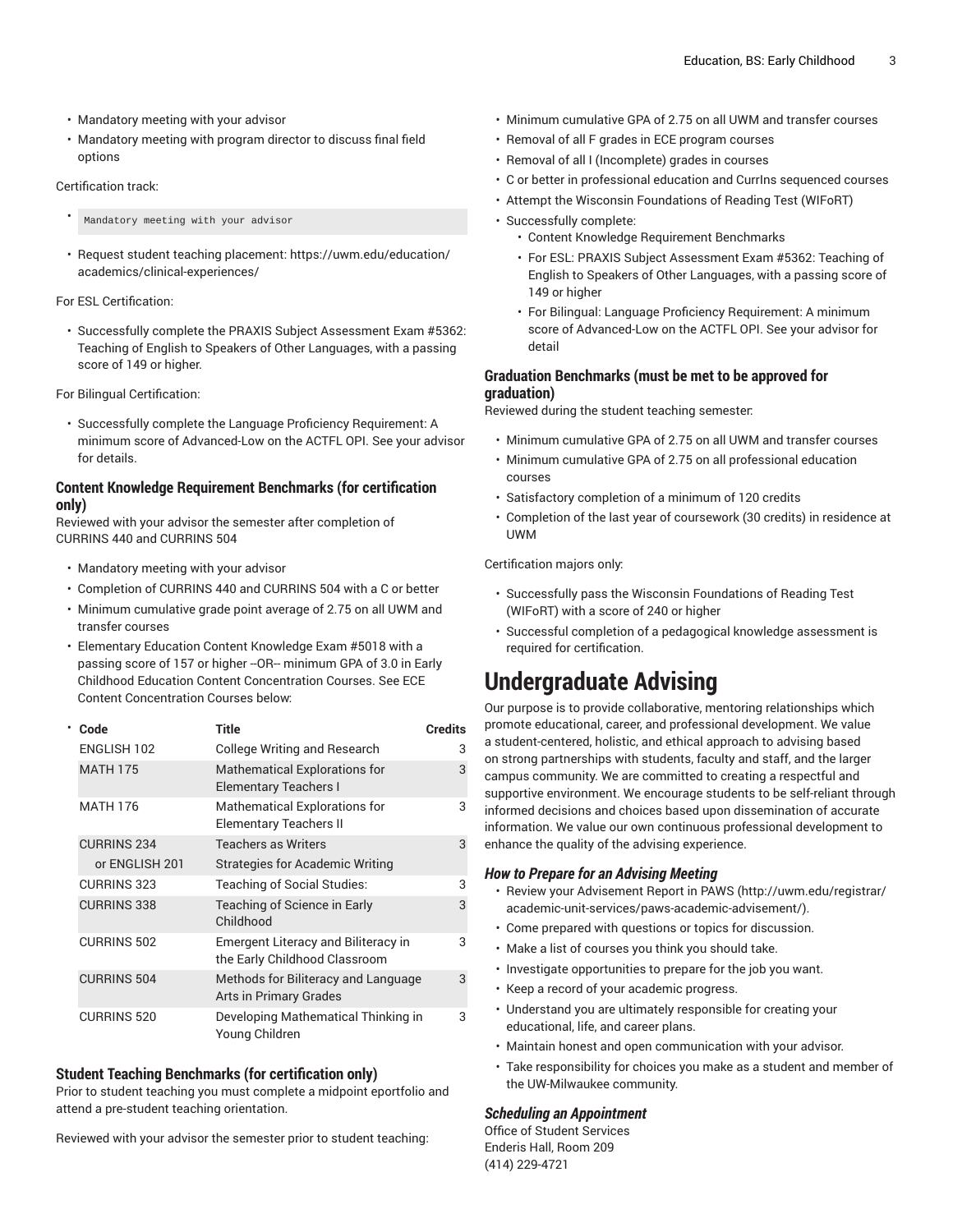- Mandatory meeting with your advisor
- Mandatory meeting with program director to discuss final field options

#### Certification track:

- Mandatory meeting with your advisor
- Request student teaching placement: [https://uwm.edu/education/](https://uwm.edu/education/academics/clinical-experiences/) [academics/clinical-experiences/](https://uwm.edu/education/academics/clinical-experiences/)

#### For ESL Certification:

• Successfully complete the PRAXIS Subject Assessment Exam #5362: Teaching of English to Speakers of Other Languages, with a passing score of 149 or higher.

For Bilingual Certification:

• Successfully complete the Language Proficiency Requirement: A minimum score of Advanced-Low on the ACTFL OPI. See your advisor for details.

#### **Content Knowledge Requirement Benchmarks (for certification only)**

Reviewed with your advisor the semester after completion of CURRINS 440 and CURRINS 504

- Mandatory meeting with your advisor
- Completion of CURRINS 440 and CURRINS 504 with a C or better
- Minimum cumulative grade point average of 2.75 on all UWM and transfer courses
- Elementary Education Content Knowledge Exam #5018 with a passing score of 157 or higher --OR-- minimum GPA of 3.0 in Early Childhood Education Content Concentration Courses. See ECE Content Concentration Courses below:

|  | Code               | <b>Title</b>                                                                | <b>Credits</b> |
|--|--------------------|-----------------------------------------------------------------------------|----------------|
|  | ENGLISH 102        | <b>College Writing and Research</b>                                         | 3              |
|  | <b>MATH 175</b>    | <b>Mathematical Explorations for</b><br>Elementary Teachers I               | 3              |
|  | <b>MATH 176</b>    | <b>Mathematical Explorations for</b><br><b>Elementary Teachers II</b>       | 3              |
|  | <b>CURRINS 234</b> | <b>Teachers as Writers</b>                                                  | 3              |
|  | or ENGLISH 201     | Strategies for Academic Writing                                             |                |
|  | <b>CURRINS 323</b> | Teaching of Social Studies:                                                 | 3              |
|  | <b>CURRINS 338</b> | Teaching of Science in Early<br>Childhood                                   | 3              |
|  | <b>CURRINS 502</b> | <b>Emergent Literacy and Biliteracy in</b><br>the Early Childhood Classroom | 3              |
|  | <b>CURRINS 504</b> | Methods for Biliteracy and Language<br><b>Arts in Primary Grades</b>        | 3              |
|  | <b>CURRINS 520</b> | Developing Mathematical Thinking in<br>Young Children                       | 3              |

#### **Student Teaching Benchmarks (for certification only)**

Prior to student teaching you must complete a midpoint eportfolio and attend a pre-student teaching orientation.

Reviewed with your advisor the semester prior to student teaching:

- Minimum cumulative GPA of 2.75 on all UWM and transfer courses
- Removal of all F grades in ECE program courses
- Removal of all I (Incomplete) grades in courses
- C or better in professional education and CurrIns sequenced courses
- Attempt the Wisconsin Foundations of Reading Test (WIFoRT)
- Successfully complete:
	- Content Knowledge Requirement Benchmarks
	- For ESL: PRAXIS Subject Assessment Exam #5362: Teaching of English to Speakers of Other Languages, with a passing score of 149 or higher
	- For Bilingual: Language Proficiency Requirement: A minimum score of Advanced-Low on the ACTFL OPI. See your advisor for detail

#### **Graduation Benchmarks (must be met to be approved for graduation)**

Reviewed during the student teaching semester:

- Minimum cumulative GPA of 2.75 on all UWM and transfer courses
- Minimum cumulative GPA of 2.75 on all professional education courses
- Satisfactory completion of a minimum of 120 credits
- Completion of the last year of coursework (30 credits) in residence at UWM

Certification majors only:

- Successfully pass the Wisconsin Foundations of Reading Test (WIFoRT) with a score of 240 or higher
- Successful completion of a pedagogical knowledge assessment is required for certification.

# **Undergraduate Advising**

Our purpose is to provide collaborative, mentoring relationships which promote educational, career, and professional development. We value a student-centered, holistic, and ethical approach to advising based on strong partnerships with students, faculty and staff, and the larger campus community. We are committed to creating a respectful and supportive environment. We encourage students to be self-reliant through informed decisions and choices based upon dissemination of accurate information. We value our own continuous professional development to enhance the quality of the advising experience.

#### *How to Prepare for an Advising Meeting*

- Review your [Advisement](http://uwm.edu/registrar/academic-unit-services/paws-academic-advisement/) Report in PAWS ([http://uwm.edu/registrar/](http://uwm.edu/registrar/academic-unit-services/paws-academic-advisement/) [academic-unit-services/paws-academic-advisement/\)](http://uwm.edu/registrar/academic-unit-services/paws-academic-advisement/).
- Come prepared with questions or topics for discussion.
- Make a list of courses you think you should take.
- Investigate opportunities to prepare for the job you want.
- Keep a record of your academic progress.
- Understand you are ultimately responsible for creating your educational, life, and career plans.
- Maintain honest and open communication with your advisor.
- Take responsibility for choices you make as a student and member of the UW-Milwaukee community.

#### *Scheduling an Appointment*

Office of Student Services Enderis Hall, Room 209 (414) 229-4721